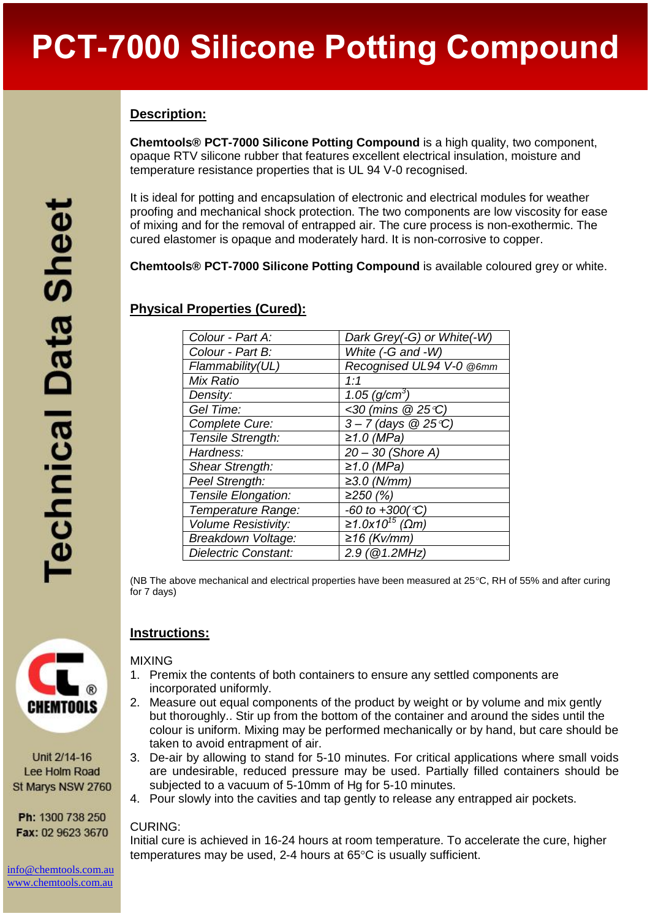# **Description:**

**Chemtools® PCT-7000 Silicone Potting Compound** is a high quality, two component, opaque RTV silicone rubber that features excellent electrical insulation, moisture and temperature resistance properties that is UL 94 V-0 recognised.

It is ideal for potting and encapsulation of electronic and electrical modules for weather proofing and mechanical shock protection. The two components are low viscosity for ease of mixing and for the removal of entrapped air. The cure process is non-exothermic. The cured elastomer is opaque and moderately hard. It is non-corrosive to copper.

**Chemtools® PCT-7000 Silicone Potting Compound** is available coloured grey or white.

## **Physical Properties (Cured):**

| Colour - Part A:           | Dark Grey(-G) or White(-W)     |
|----------------------------|--------------------------------|
| Colour - Part B:           | White (-G and -W)              |
| Flammability(UL)           | Recognised UL94 V-0 @6mm       |
| Mix Ratio                  | 1:1                            |
| Density:                   | 1.05 $(g/cm^{3})$              |
| Gel Time:                  | <30 (mins @ 25°C)              |
| Complete Cure:             | $3 - 7$ (days @ 25 °C)         |
| Tensile Strength:          | $≥1.0$ (MPa)                   |
| Hardness:                  | $20 - 30$ (Shore A)            |
| Shear Strength:            | $≥1.0$ (MPa)                   |
| Peel Strength:             | $≥3.0$ (N/mm)                  |
| Tensile Elongation:        | ≥250(%)                        |
| Temperature Range:         | -60 to $+300(^{\circ}C)$       |
| <b>Volume Resistivity:</b> | $\sqrt{\geq 1.0x10^{15}}$ (Ωm) |
| Breakdown Voltage:         | ≥16 (Kv/mm)                    |
| Dielectric Constant:       | 2.9 (@1.2MHz)                  |

(NB The above mechanical and electrical properties have been measured at  $25^{\circ}$ C, RH of 55% and after curing for 7 days)



# **Instructions:**

#### MIXING

- 1. Premix the contents of both containers to ensure any settled components are incorporated uniformly.
- 2. Measure out equal components of the product by weight or by volume and mix gently but thoroughly.. Stir up from the bottom of the container and around the sides until the colour is uniform. Mixing may be performed mechanically or by hand, but care should be taken to avoid entrapment of air.
- 3. De-air by allowing to stand for 5-10 minutes. For critical applications where small voids are undesirable, reduced pressure may be used. Partially filled containers should be subjected to a vacuum of 5-10mm of Hg for 5-10 minutes.
- 4. Pour slowly into the cavities and tap gently to release any entrapped air pockets.

#### CURING:

Initial cure is achieved in 16-24 hours at room temperature. To accelerate the cure, higher temperatures may be used. 2-4 hours at  $65^{\circ}$ C is usually sufficient.



Unit 2/14-16 Lee Holm Road St Marys NSW 2760

Ph: 1300 738 250 Fax: 02 9623 3670

[info@chemtools.com.au](mailto:info@chemtools.com.au) [www.chemtools.com.au](http://www.chemtools.com.au/)